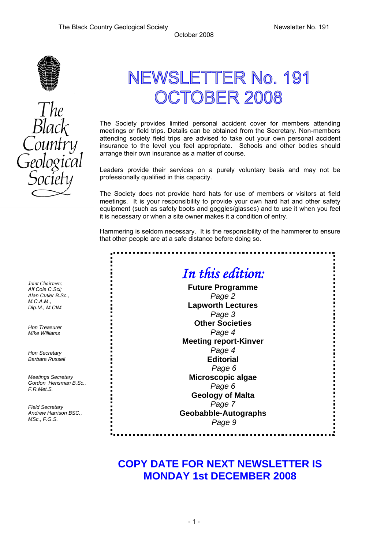

# NEWSLETTER No. 191 **OCTOBER 2008**

The Society provides limited personal accident cover for members attending meetings or field trips. Details can be obtained from the Secretary. Non-members attending society field trips are advised to take out your own personal accident insurance to the level you feel appropriate. Schools and other bodies should arrange their own insurance as a matter of course.

Leaders provide their services on a purely voluntary basis and may not be professionally qualified in this capacity.

The Society does not provide hard hats for use of members or visitors at field meetings. It is your responsibility to provide your own hard hat and other safety equipment (such as safety boots and goggles/glasses) and to use it when you feel it is necessary or when a site owner makes it a condition of entry.

Hammering is seldom necessary. It is the responsibility of the hammerer to ensure that other people are at a safe distance before doing so.

.............

# *In this edition:*  **Future Programme**  *Page 2*  **Lapworth Lectures** *Page 3* **Other Societies**  *Page 4* **Meeting report-Kinver**

*Page 4*  **Editorial**  *Page 6* 

**Microscopic algae**  *Page 6* 

**Geology of Malta** *Page 7* 

**Geobabble-Autographs**  *Page 9* 

# **COPY DATE FOR NEXT NEWSLETTER IS MONDAY 1st DECEMBER 2008**

*Joint Chairmen: Alf Cole C.Sci; Alan Cutler B.Sc., M.C.A.M., Dip.M., M.CIM.* 

*Hon Treasurer Mike Williams* 

*Hon Secretary Barbara Russell* 

*Meetings Secretary Gordon Hensman B.Sc., F.R.Met.S.* 

*Field Secretary Andrew Harrison BSC., MSc., F.G.S.*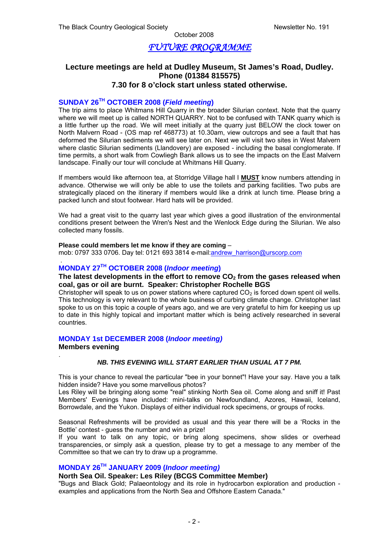### *FUTURE PROGRAMME*

#### **Lecture meetings are held at Dudley Museum, St James's Road, Dudley. Phone (01384 815575) 7.30 for 8 o'clock start unless stated otherwise.**

#### **SUNDAY 26TH OCTOBER 2008 (***Field meeting***)**

The trip aims to place Whitmans Hill Quarry in the broader Silurian context. Note that the quarry where we will meet up is called NORTH QUARRY. Not to be confused with TANK quarry which is a little further up the road. We will meet initially at the quarry just BELOW the clock tower on North Malvern Road - (OS map ref 468773) at 10.30am, view outcrops and see a fault that has deformed the Silurian sediments we will see later on. Next we will visit two sites in West Malvern where clastic Silurian sediments (Llandovery) are exposed - including the basal conglomerate. If time permits, a short walk from Cowliegh Bank allows us to see the impacts on the East Malvern landscape. Finally our tour will conclude at Whitmans Hill Quarry.

If members would like afternoon tea, at Storridge Village hall I **MUST** know numbers attending in advance. Otherwise we will only be able to use the toilets and parking facilities. Two pubs are strategically placed on the itinerary if members would like a drink at lunch time. Please bring a packed lunch and stout footwear. Hard hats will be provided.

We had a great visit to the quarry last year which gives a good illustration of the environmental conditions present between the Wren's Nest and the Wenlock Edge during the Silurian. We also collected many fossils.

#### **Please could members let me know if they are coming** –

mob: 0797 333 0706. Day tel: 0121 693 3814 e-mail: andrew\_harrison@urscorp.com

#### **MONDAY 27TH OCTOBER 2008 (***Indoor meeting***)**

#### The latest developments in the effort to remove CO<sub>2</sub> from the gases released when **coal, gas or oil are burnt. Speaker: Christopher Rochelle BGS**

Christopher will speak to us on power stations where captured  $CO<sub>2</sub>$  is forced down spent oil wells. This technology is very relevant to the whole business of curbing climate change. Christopher last spoke to us on this topic a couple of years ago, and we are very grateful to him for keeping us up to date in this highly topical and important matter which is being actively researched in several countries.

#### **MONDAY 1st DECEMBER 2008 (***Indoor meeting)*

#### **Members evening**

.

.

#### *NB. THIS EVENING WILL START EARLIER THAN USUAL AT 7 PM.*

This is your chance to reveal the particular "bee in your bonnet"! Have your say. Have you a talk hidden inside? Have you some marvellous photos?

Les Riley will be bringing along some "real" stinking North Sea oil. Come along and sniff it! Past Members' Evenings have included: mini-talks on Newfoundland, Azores, Hawaii, Iceland, Borrowdale, and the Yukon. Displays of either individual rock specimens, or groups of rocks.

Seasonal Refreshments will be provided as usual and this year there will be a 'Rocks in the Bottle' contest - guess the number and win a prize!

If you want to talk on any topic, or bring along specimens, show slides or overhead transparencies, or simply ask a question, please try to get a message to any member of the Committee so that we can try to draw up a programme.

#### **MONDAY 26TH JANUARY 2009 (***Indoor meeting)*

#### **North Sea Oil. Speaker: Les Riley (BCGS Committee Member)**

"Bugs and Black Gold; Palaeontology and its role in hydrocarbon exploration and production examples and applications from the North Sea and Offshore Eastern Canada."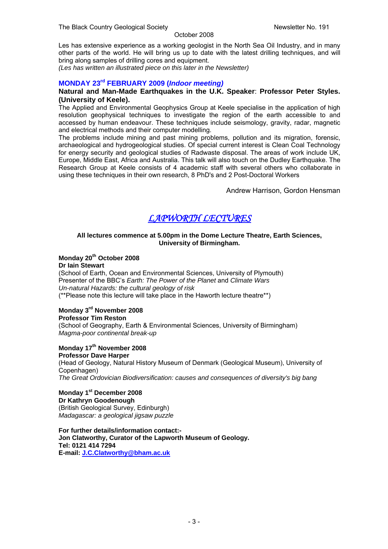Les has extensive experience as a working geologist in the North Sea Oil Industry, and in many other parts of the world. He will bring us up to date with the latest drilling techniques, and will bring along samples of drilling cores and equipment.

*(Les has written an illustrated piece on this later in the Newsletter)* 

### **MONDAY 23rd FEBRUARY 2009 (***Indoor meeting)*

#### **Natural and Man-Made Earthquakes in the U.K. Speaker**: **Professor Peter Styles. (University of Keele).**

The Applied and Environmental Geophysics Group at Keele specialise in the application of high resolution geophysical techniques to investigate the region of the earth accessible to and accessed by human endeavour. These techniques include seismology, gravity, radar, magnetic and electrical methods and their computer modelling.

The problems include mining and past mining problems, pollution and its migration, forensic, archaeological and hydrogeological studies. Of special current interest is Clean Coal Technology for energy security and geological studies of Radwaste disposal. The areas of work include UK, Europe, Middle East, Africa and Australia. This talk will also touch on the Dudley Earthquake. The Research Group at Keele consists of 4 academic staff with several others who collaborate in using these techniques in their own research, 8 PhD's and 2 Post-Doctoral Workers

Andrew Harrison, Gordon Hensman

# *LAPWORTH LECTURES*

#### **All lectures commence at 5.00pm in the Dome Lecture Theatre, Earth Sciences, University of Birmingham.**

#### **Monday 20th October 2008**

**Dr Iain Stewart** (School of Earth, Ocean and Environmental Sciences, University of Plymouth) Presenter of the BBC's *Earth: The Power of the Planet* and *Climate Wars Un-natural Hazards: the cultural geology of risk* (\*\*Please note this lecture will take place in the Haworth lecture theatre\*\*)

#### **Monday 3rd November 2008 Professor Tim Reston**

(School of Geography, Earth & Environmental Sciences, University of Birmingham) *Magma-poor continental break-up* 

# **Monday 17th November 2008**

**Professor Dave Harper**  (Head of Geology, Natural History Museum of Denmark (Geological Museum), University of Copenhagen) *The Great Ordovician Biodiversification: causes and consequences of diversity's big bang* 

**Monday 1st December 2008 Dr Kathryn Goodenough**  (British Geological Survey, Edinburgh) *Madagascar: a geological jigsaw puzzle* 

**For further details/information contact:- Jon Clatworthy, Curator of the Lapworth Museum of Geology. Tel: 0121 414 7294 E-mail: J.C.Clatworthy@bham.ac.uk**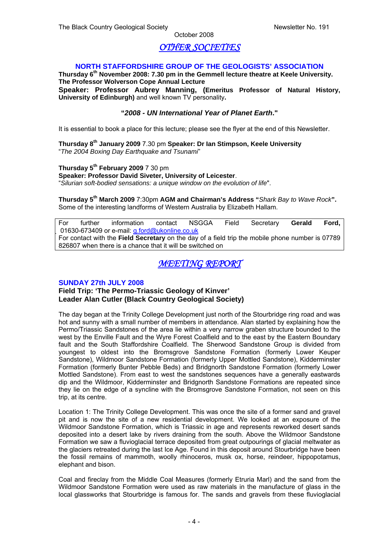### *OTHER SOCIETIES*

#### **NORTH STAFFORDSHIRE GROUP OF THE GEOLOGISTS' ASSOCIATION**

**Thursday 6th November 2008: 7.30 pm in the Gemmell lecture theatre at Keele University. The Professor Wolverson Cope Annual Lecture** 

**Speaker: Professor Aubrey Manning, (Emeritus Professor of Natural History, University of Edinburgh)** and well known TV personality**.** 

#### **"***2008 - UN International Year of Planet Earth***."**

It is essential to book a place for this lecture; please see the flyer at the end of this Newsletter.

**Thursday 8th January 2009** 7.30 pm **Speaker: Dr Ian Stimpson, Keele University** "*The 2004 Boxing Day Earthquake and Tsunami*"

**Thursday 5th February 2009** 7 30 pm **Speaker: Professor David Siveter, University of Leicester**. "*Silurian soft-bodied sensations: a unique window on the evolution of life*".

**Thursday 5th March 2009** 7:30pm **AGM and Chairman's Address "***Shark Bay to Wave Rock***".**  Some of the interesting landforms of Western Australia by Elizabeth Hallam.

For further information contact NSGGA Field Secretary **Gerald Ford,**  01630-673409 or e-mail: g.ford@ukonline.co.uk For contact with the **Field Secretary** on the day of a field trip the mobile phone number is 07789 826807 when there is a chance that it will be switched on

### *MEETING REPORT*

#### **SUNDAY 27th JULY 2008**

**Field Trip: 'The Permo-Triassic Geology of Kinver' Leader Alan Cutler (Black Country Geological Society)** 

The day began at the Trinity College Development just north of the Stourbridge ring road and was hot and sunny with a small number of members in attendance. Alan started by explaining how the Permo/Triassic Sandstones of the area lie within a very narrow graben structure bounded to the west by the Enville Fault and the Wyre Forest Coalfield and to the east by the Eastern Boundary fault and the South Staffordshire Coalfield. The Sherwood Sandstone Group is divided from youngest to oldest into the Bromsgrove Sandstone Formation (formerly Lower Keuper Sandstone), Wildmoor Sandstone Formation (formerly Upper Mottled Sandstone), Kidderminster Formation (formerly Bunter Pebble Beds) and Bridgnorth Sandstone Formation (formerly Lower Mottled Sandstone). From east to west the sandstones sequences have a generally eastwards dip and the Wildmoor, Kidderminster and Bridgnorth Sandstone Formations are repeated since they lie on the edge of a syncline with the Bromsgrove Sandstone Formation, not seen on this trip, at its centre.

Location 1: The Trinity College Development. This was once the site of a former sand and gravel pit and is now the site of a new residential development. We looked at an exposure of the Wildmoor Sandstone Formation, which is Triassic in age and represents reworked desert sands deposited into a desert lake by rivers draining from the south. Above the Wildmoor Sandstone Formation we saw a fluvioglacial terrace deposited from great outpourings of glacial meltwater as the glaciers retreated during the last Ice Age. Found in this deposit around Stourbridge have been the fossil remains of mammoth, woolly rhinoceros, musk ox, horse, reindeer, hippopotamus, elephant and bison.

Coal and fireclay from the Middle Coal Measures (formerly Etruria Marl) and the sand from the Wildmoor Sandstone Formation were used as raw materials in the manufacture of glass in the local glassworks that Stourbridge is famous for. The sands and gravels from these fluvioglacial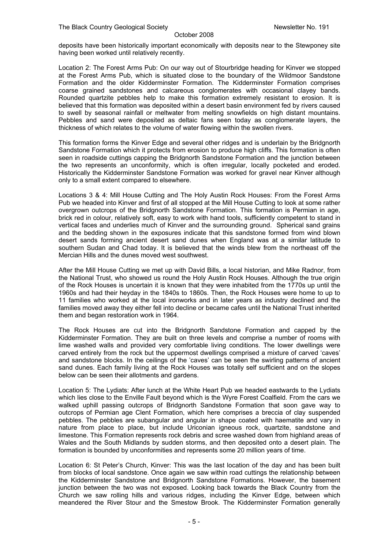deposits have been historically important economically with deposits near to the Stewponey site having been worked until relatively recently.

Location 2: The Forest Arms Pub: On our way out of Stourbridge heading for Kinver we stopped at the Forest Arms Pub, which is situated close to the boundary of the Wildmoor Sandstone Formation and the older Kidderminster Formation. The Kidderminster Formation comprises coarse grained sandstones and calcareous conglomerates with occasional clayey bands. Rounded quartzite pebbles help to make this formation extremely resistant to erosion. It is believed that this formation was deposited within a desert basin environment fed by rivers caused to swell by seasonal rainfall or meltwater from melting snowfields on high distant mountains. Pebbles and sand were deposited as deltaic fans seen today as conglomerate layers, the thickness of which relates to the volume of water flowing within the swollen rivers.

This formation forms the Kinver Edge and several other ridges and is underlain by the Bridgnorth Sandstone Formation which it protects from erosion to produce high cliffs. This formation is often seen in roadside cuttings capping the Bridgnorth Sandstone Formation and the junction between the two represents an unconformity, which is often irregular, locally pocketed and eroded. Historically the Kidderminster Sandstone Formation was worked for gravel near Kinver although only to a small extent compared to elsewhere.

Locations 3 & 4: Mill House Cutting and The Holy Austin Rock Houses: From the Forest Arms Pub we headed into Kinver and first of all stopped at the Mill House Cutting to look at some rather overgrown outcrops of the Bridgnorth Sandstone Formation. This formation is Permian in age, brick red in colour, relatively soft, easy to work with hand tools, sufficiently competent to stand in vertical faces and underlies much of Kinver and the surrounding ground. Spherical sand grains and the bedding shown in the exposures indicate that this sandstone formed from wind blown desert sands forming ancient desert sand dunes when England was at a similar latitude to southern Sudan and Chad today. It is believed that the winds blew from the northeast off the Mercian Hills and the dunes moved west southwest.

After the Mill House Cutting we met up with David Bills, a local historian, and Mike Radnor, from the National Trust, who showed us round the Holy Austin Rock Houses. Although the true origin of the Rock Houses is uncertain it is known that they were inhabited from the 1770s up until the 1960s and had their heyday in the 1840s to 1860s. Then, the Rock Houses were home to up to 11 families who worked at the local ironworks and in later years as industry declined and the families moved away they either fell into decline or became cafes until the National Trust inherited them and began restoration work in 1964.

The Rock Houses are cut into the Bridgnorth Sandstone Formation and capped by the Kidderminster Formation. They are built on three levels and comprise a number of rooms with lime washed walls and provided very comfortable living conditions. The lower dwellings were carved entirely from the rock but the uppermost dwellings comprised a mixture of carved 'caves' and sandstone blocks. In the ceilings of the 'caves' can be seen the swirling patterns of ancient sand dunes. Each family living at the Rock Houses was totally self sufficient and on the slopes below can be seen their allotments and gardens.

Location 5: The Lydiats: After lunch at the White Heart Pub we headed eastwards to the Lydiats which lies close to the Enville Fault beyond which is the Wyre Forest Coalfield. From the cars we walked uphill passing outcrops of Bridgnorth Sandstone Formation that soon gave way to outcrops of Permian age Clent Formation, which here comprises a breccia of clay suspended pebbles. The pebbles are subangular and angular in shape coated with haematite and vary in nature from place to place, but include Uriconian igneous rock, quartzite, sandstone and limestone. This Formation represents rock debris and scree washed down from highland areas of Wales and the South Midlands by sudden storms, and then deposited onto a desert plain. The formation is bounded by unconformities and represents some 20 million years of time.

Location 6: St Peter's Church, Kinver: This was the last location of the day and has been built from blocks of local sandstone. Once again we saw within road cuttings the relationship between the Kidderminster Sandstone and Bridgnorth Sandstone Formations. However, the basement junction between the two was not exposed. Looking back towards the Black Country from the Church we saw rolling hills and various ridges, including the Kinver Edge, between which meandered the River Stour and the Smestow Brook. The Kidderminster Formation generally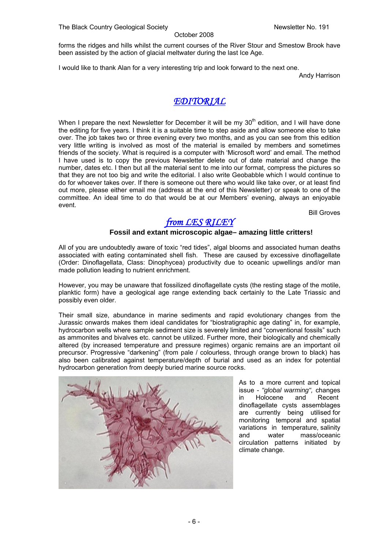forms the ridges and hills whilst the current courses of the River Stour and Smestow Brook have been assisted by the action of glacial meltwater during the last Ice Age.

I would like to thank Alan for a very interesting trip and look forward to the next one.

Andy Harrison

### *EDITORIAL*

When I prepare the next Newsletter for December it will be my 30<sup>th</sup> edition, and I will have done the editing for five years. I think it is a suitable time to step aside and allow someone else to take over. The job takes two or three evening every two months, and as you can see from this edition very little writing is involved as most of the material is emailed by members and sometimes friends of the society. What is required is a computer with 'Microsoft word' and email. The method I have used is to copy the previous Newsletter delete out of date material and change the number, dates etc. I then but all the material sent to me into our format, compress the pictures so that they are not too big and write the editorial. I also write Geobabble which I would continue to do for whoever takes over. If there is someone out there who would like take over, or at least find out more, please either email me (address at the end of this Newsletter) or speak to one of the committee. An ideal time to do that would be at our Members' evening, always an enjoyable event.

Bill Groves

# *from LES RILEY*

#### **Fossil and extant microscopic algae– amazing little critters!**

All of you are undoubtedly aware of toxic "red tides", algal blooms and associated human deaths associated with eating contaminated shell fish. These are caused by excessive dinoflagellate (Order: Dinoflagellata, Class: Dinophycea) productivity due to oceanic upwellings and/or man made pollution leading to nutrient enrichment.

However, you may be unaware that fossilized dinoflagellate cysts (the resting stage of the motile, planktic form) have a geological age range extending back certainly to the Late Triassic and possibly even older.

Their small size, abundance in marine sediments and rapid evolutionary changes from the Jurassic onwards makes them ideal candidates for "biostratigraphic age dating" in, for example, hydrocarbon wells where sample sediment size is severely limited and "conventional fossils" such as ammonites and bivalves etc. cannot be utilized. Further more, their biologically and chemically altered (by increased temperature and pressure regimes) organic remains are an important oil precursor. Progressive "darkening" (from pale / colourless, through orange brown to black) has also been calibrated against temperature/depth of burial and used as an index for potential hydrocarbon generation from deeply buried marine source rocks.



As to a more current and topical issue - *"global warming",* changes in Holocene and Recent dinoflagellate cysts assemblages are currently being utilised for monitoring temporal and spatial variations in temperature, salinity and water mass/oceanic circulation patterns initiated by climate change.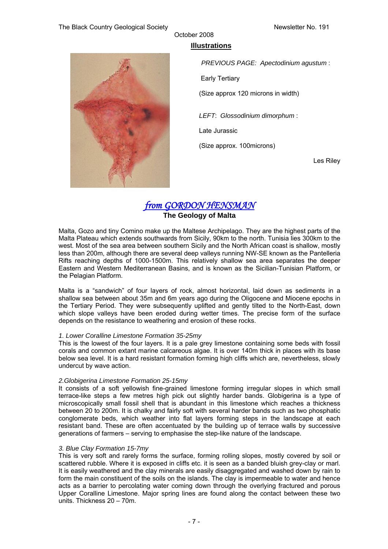

### **Illustrations**

October 2008

*PREVIOUS PAGE: Apectodinium agustum* : Early Tertiary (Size approx 120 microns in width) *LEFT*: *Glossodinium dimorphum* : Late Jurassic (Size approx. 100microns) Les Riley

### *from GORDON HENSMAN* **The Geology of Malta**

Malta, Gozo and tiny Comino make up the Maltese Archipelago. They are the highest parts of the Malta Plateau which extends southwards from Sicily, 90km to the north. Tunisia lies 300km to the west. Most of the sea area between southern Sicily and the North African coast is shallow, mostly less than 200m, although there are several deep valleys running NW-SE known as the Pantelleria Rifts reaching depths of 1000-1500m. This relatively shallow sea area separates the deeper Eastern and Western Mediterranean Basins, and is known as the Sicilian-Tunisian Platform, or the Pelagian Platform.

Malta is a "sandwich" of four layers of rock, almost horizontal, laid down as sediments in a shallow sea between about 35m and 6m years ago during the Oligocene and Miocene epochs in the Tertiary Period. They were subsequently uplifted and gently tilted to the North-East, down which slope valleys have been eroded during wetter times. The precise form of the surface depends on the resistance to weathering and erosion of these rocks.

#### *1. Lower Coralline Limestone Formation 35-25my*

This is the lowest of the four layers. It is a pale grey limestone containing some beds with fossil corals and common extant marine calcareous algae. It is over 140m thick in places with its base below sea level. It is a hard resistant formation forming high cliffs which are, nevertheless, slowly undercut by wave action.

#### *2.Globigerina Limestone Formation 25-15my*

It consists of a soft yellowish fine-grained limestone forming irregular slopes in which small terrace-like steps a few metres high pick out slightly harder bands. Globigerina is a type of microscopically small fossil shell that is abundant in this limestone which reaches a thickness between 20 to 200m. It is chalky and fairly soft with several harder bands such as two phosphatic conglomerate beds, which weather into flat layers forming steps in the landscape at each resistant band. These are often accentuated by the building up of terrace walls by successive generations of farmers – serving to emphasise the step-like nature of the landscape.

#### *3. Blue Clay Formation 15-7my*

This is very soft and rarely forms the surface, forming rolling slopes, mostly covered by soil or scattered rubble. Where it is exposed in cliffs etc. it is seen as a banded bluish grey-clay or marl. It is easily weathered and the clay minerals are easily disaggregated and washed down by rain to form the main constituent of the soils on the islands. The clay is impermeable to water and hence acts as a barrier to percolating water coming down through the overlying fractured and porous Upper Coralline Limestone. Major spring lines are found along the contact between these two units. Thickness 20 – 70m.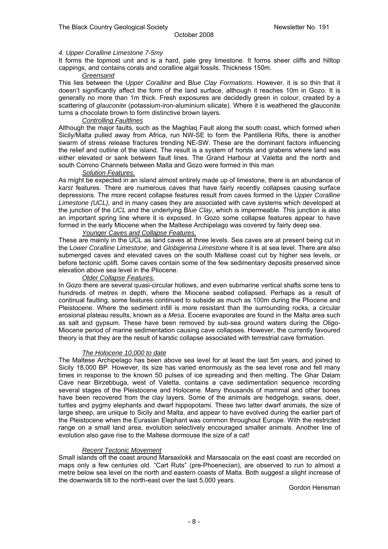#### *4. Upper Coralline Limestone 7-5my*

It forms the topmost unit and is a hard, pale grey limestone. It forms sheer cliffs and hilltop cappings, and contains corals and coralline algal fossils. Thickness 150m.

#### *Greensand*

This lies between the *Upper Coralline* and B*lue Clay Formations*. However, it is so thin that it doesn't significantly affect the form of the land surface, although it reaches 10m in Gozo. It is generally no more than 1m thick. Fresh exposures are decidedly green in colour, created by a scattering of *glauconite* (potassium-iron-aluminium silicate). Where it is weathered the glauconite turns a chocolate brown to form distinctive brown layers.

#### *Controlling Faultlines*

Although the major faults, such as the Maghlaq Fault along the south coast, which formed when Sicily/Malta pulled away from Africa, run NW-SE to form the Pantilleria Rifts, there is another swarm of stress release fractures trending NE-SW. These are the dominant factors influencing the relief and outline of the island. The result is a system of horsts and grabens where land was either elevated or sank between fault lines. The Grand Harbour at Valetta and the north and south Comino Channels between Malta and Gozo were formed in this man

#### *Solution Features.*

As might be expected in an island almost entirely made up of limestone, there is an abundance of *karst* features. There are numerous caves that have fairly recently collapses causing surface depressions. The more recent collapse features result from caves formed in the U*pper Coralline Limestone (UCL),* and in many cases they are associated with cave systems which developed at the junction of the *UCL* and the underlying B*lue Clay*, which is impermeable. This junction is also an important spring line where it is exposed. In Gozo some collapse features appear to have formed in the early Miocene when the Maltese Archipelago was covered by fairly deep sea.

#### *Younger Caves and Collapse Features.*

These are mainly in the UCL as land caves at three levels. Sea caves are at present being cut in the L*ower Coralline Limestone*, and *Globigerina Limestone* where it is at sea level. There are also submerged caves and elevated caves on the south Maltese coast cut by higher sea levels, or before tectonic uplift. Some caves contain some of the few sedimentary deposits preserved since elevation above sea level in the Pliocene.

#### *Older Collapse Features.*

In Gozo there are several quasi-circular hollows, and even submarine vertical shafts some tens to hundreds of metres in depth, where the Miocene seabed collapsed. Perhaps as a result of continual faulting, some features continued to subside as much as 100m during the Pliocene and Pleistocene. Where the sediment infill is more resistant than the surrounding rocks, a circular erosional plateau results, known as a *Mesa*. Eocene evaporates are found in the Malta area such as salt and gypsum. These have been removed by sub-sea ground waters during the Oligo-Miocene period of marine sedimentation causing cave collapses. However, the currently favoured theory is that they are the result of karstic collapse associated with terrestrial cave formation.

#### *The Holocene 10,000 to date*

The Maltese Archipelago has been above sea level for at least the last 5m years, and joined to Sicily 18,000 BP. However, its size has varied enormously as the sea level rose and fell many times in response to the known 50 pulses of ice spreading and then melting. The Ghar Dalam Cave near Birzebbuga, west of Valetta, contains a cave sedimentation sequence recording several stages of the Pleistocene and Holocene. Many thousands of mammal and other bones have been recovered from the clay layers. Some of the animals are hedgehogs, swans, deer, turtles and pygmy elephants and dwarf hippopotami. These two latter dwarf animals, the size of large sheep, are unique to Sicily and Malta, and appear to have evolved during the earlier part of the Pleistocene when the Eurasian Elephant was common throughout Europe. With the restricted range on a small land area, evolution selectively encouraged smaller animals. Another line of evolution also gave rise to the Maltese dormouse the size of a cat!

#### *Recent Tectonic Movement*

Small islands off the coast around Marsaxlokk and Marsascala on the east coast are recorded on maps only a few centuries old. "Cart Ruts" (pre-Phoenecian), are observed to run to almost a metre below sea level on the north and eastern coasts of Malta. Both suggest a slight increase of the downwards tilt to the north-east over the last 5,000 years.

Gordon Hensman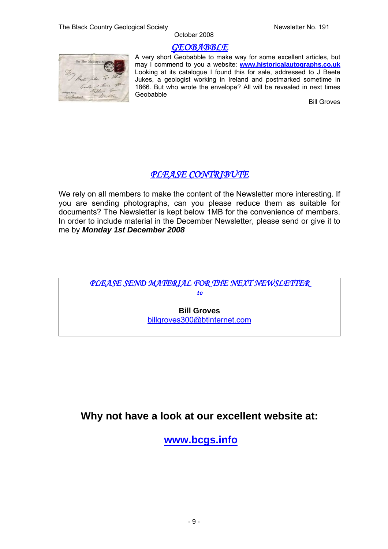### *GEOBABBLE*



A very short Geobabble to make way for some excellent articles, but may I commend to you a website: **www.historicalautographs.co.uk** Looking at its catalogue I found this for sale, addressed to J Beete Jukes, a geologist working in Ireland and postmarked sometime in 1866. But who wrote the envelope? All will be revealed in next times Geobabble

Bill Groves

# *PLEASE CONTRIBUTE*

We rely on all members to make the content of the Newsletter more interesting. If you are sending photographs, can you please reduce them as suitable for documents? The Newsletter is kept below 1MB for the convenience of members. In order to include material in the December Newsletter, please send or give it to me by *Monday 1st December 2008* 



# **Why not have a look at our excellent website at:**

**www.bcgs.info**